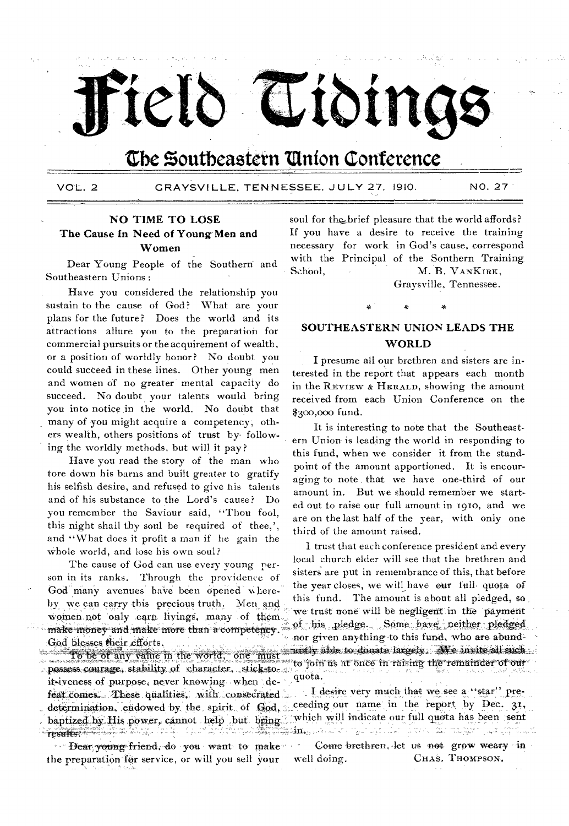

# The Southeastern Union Conference

VOL. 2

GRAYSVILLE, TENNESSEE, JULY 27, 1910.

NO. 27

# **NO TIME TO LOSE** The Cause In Need of Young Men and Women

Dear Young People of the Southern and Southeastern Unions:

Have you considered the relationship you sustain to the cause of God? What are your plans for the future? Does the world and its attractions allure you to the preparation for commercial pursuits or the acquirement of wealth, or a position of worldly honor? No doubt you could succeed in these lines. Other young men and women of no greater mental capacity do succeed. No doubt your talents would bring you into notice in the world. No doubt that many of you might acquire a competency; others wealth, others positions of trust by following the worldly methods, but will it pay?

Have you read the story of the man who tore down his barns and built greater to gratify his selfish desire, and refused to give his talents and of his substance to the Lord's cause? Do you remember the Saviour said, "Thou fool, this night shall thy soul be required of thee,', and "What does it profit a man if he gain the whole world, and lose his own soul?

The cause of God can use every young person in its ranks. Through the providence of God many avenues have been opened whereby we can carry this precious truth. Men and women not only earn livings, many of them make money and make more than a competency. God blesses their efforts.

To be of any value in the world, one must possess courage, stability of character, stick-toit iveness of purpose, never knowing when defeat comes. These qualities, with consecrated determination, endowed by the spirit of God, baptized by His power, cannot help but bring A Service de Starte<br>A Constituto de Starte Tesultangung adalyti bili ditin

Dear young friend, do you want to make the preparation for service, or will you sell your

soul for the brief pleasure that the world affords? If you have a desire to receive the training necessary for work in God's cause, correspond with the Principal of the Sonthern Training School. M. B. VANKIRK,

Graysville, Tennessee.

# SOUTHEASTERN UNION LEADS THE **WORLD**

I presume all our brethren and sisters are interested in the report that appears each month in the REVIEW & HERALD, showing the amount received from each Union Conference on the \$300,000 fund.

It is interesting to note that the Southeastern Union is leading the world in responding to this fund, when we consider it from the standpoint of the amount apportioned. It is encouraging to note that we have one-third of our amount in. But we should remember we started out to raise our full amount in 1910, and we are on the last half of the year, with only one third of the amount raised.

I trust that each conference president and every local church elder will see that the brethren and sisters are put in remembrance of this, that before the year closes, we will have our full quota of this fund. The amount is about all pledged, so we trust none will be negligent in the payment of his pledge. Some have neither pledged nor given anything to this fund, who are abundantly able to donate largely. Me invite all such to join us at once in raising the remainder of our quota.

I desire very much that we see a "star" preceeding our name in the report by Dec. 31, which will indicate our full quota has been sent r e constante de la constante de la constante de la constante de la constante de la constante de la constante <br>La constante de la constante de la constante de la constante de la constante de la constante de la constante d  $\mathbf{m},...,\mathbf{a},...$  .

Come brethren, let us not grow weary in CHAS. THOMPSON. well doing.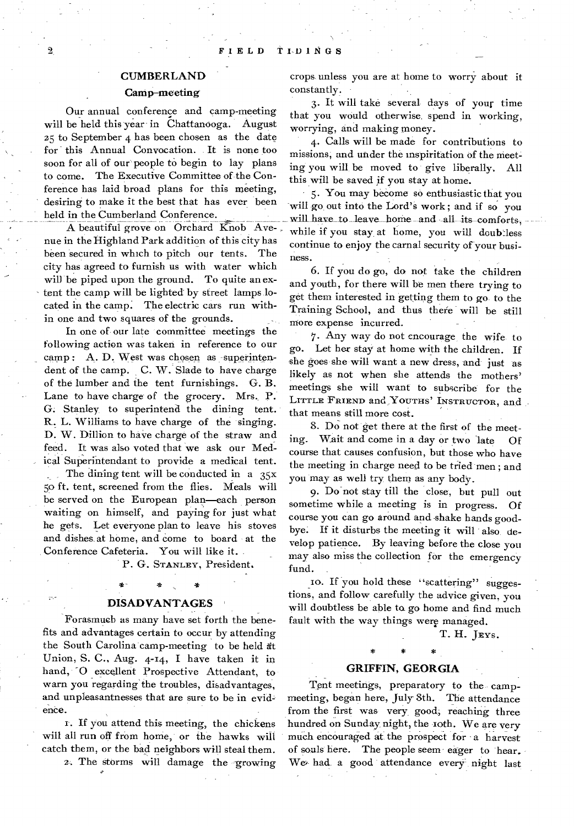### CUMBERLAND

### Camp-meeting

Our annual conference and camp-meeting will be held this year in Chattanooga. August z5 to September 4 has been chosen as the date for this Annual Convocation. It is none too soon for all of our people to begin to lay plans to come. The Executive Committee of the Conference has laid broad plans for this meeting, desiring to make it the best that has ever been held in the Cumberland Conference.

A beautiful grove on Orchard Knob Avenue in the Highland Park addition of this city has been secured in which to pitch our tents. The city has agreed to furnish us with water which will be piped upon the ground. To quite an extent the camp will be lighted by street lamps located in the camp. The electric cars run within one and two squares of the grounds.

In one of our late committee meetings the following action was taken in reference to our camp : A. D. West was chosen as superintendent of the camp. C. W. Slade to have charge of the lumber and the tent furnishings. G. B. Lane to have charge of the grocery. Mrs. P. G. Stanley to superintend the dining tent. R. L. Williams to have charge of the singing. D. W. Dillion to have charge of the straw and feed. It was also voted that we ask our Medical Superintendant to provide a medical tent.

The dining tent will be conducted in a  $35x$ 5o ft. tent, screened from the flies. Meals will be served on the European plan—each person waiting on himself, and paying for just what he gets. Let everyone plan to leave his stoves and dishes at home, and come to board at the Conference Cafeteria. You will like it.

P. G. STANLEY, President.

### **DISAD VANTAGES**

\*-

Forasmuch as many have set forth the benefits and advantages certain to occur by attending the South Carolina camp-meeting to be held dt Union, S. C., Aug. 4-14, I have taken it in hand, "0 excellent Prospective Attendant, to warn you regarding the troubles, disadvantages, and unpleasantnesses that are sure to be in evidence.

r. If you attend this meeting, the chickens will all run off from home, or the hawks will catch them, or the bad neighbors will steal them.

a•. The storms will damage the growing

crops unless you are at home to worry about it constantly.

3. It will take several- days of your time that you would otherwise, spend in working, worrying, and making money.

4. Calls will be made for contributions to missions, and under the inspiritation of the meeting you will be moved to give liberally. All this will be saved if you stay at home.

5. You may become so enthusiastic that you will go out into the Lord's work; and if so you will have to leave home and all its comforts, while if you stay at home, you will doubtless continue to enjoy the carnal security of your business.

6. If you do go, do not take the children and youth, for there will be men there trying to get them interested in getting them to go to the Training School, and thus there will be still more expense incurred.

7. Any way do not encourage the wife to go. Let her stay at home with the children. If she goes she will want a new dress, and just as likely as not when she attends the mothers' meetings she will want to subscribe for the LITTLE FRIEND and YOUTHS' INSTRUCTOR, and that means still more cost.

8. Do not get there at the first of the meeting. Wait and come in a day or two late Of course that causes confusion, but those who have the meeting in charge need to be tried men ; and you may as well try them as any body.

9. Do not stay till the close, but pull out sometime while a meeting is in progress. Of course you can go around and-shake hands goodbye. If it disturbs the meeting it will also, develop patience. By leaving before the close you may also miss the collection for the emergency fund.

If you hold these "scattering" suggestions, and follow carefully the advice given, you will doubtless be able to go home and find much fault with the way things were managed.

T. H. JEYS.

# \* \* \* **GRIFFIN, GEORGIA**

Tent meetings, preparatory to the campmeeting, began here, July 8th. The attendance from the first was very good; reaching three hundred on Sunday night, the 10th. We are very much encouraged at the prospect for a harvest of souls here. The people seem eager to hear. We, had a good attendance every night last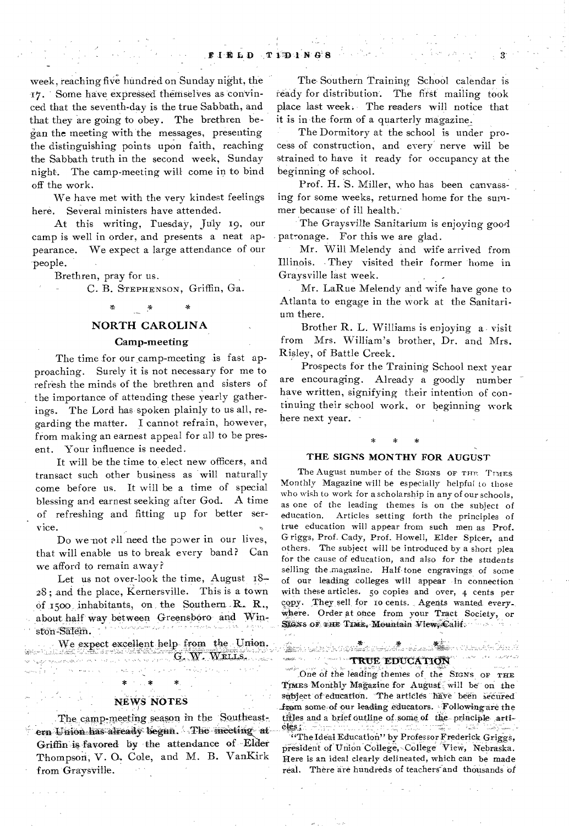week, reaching five hundred on Sunday night, the 17. Some have expressed thernselVes as convinced that the seventh-day is the true Sabbath, and that they are going to obey. The brethren began the meeting with the messages, presenting the distinguishing points upon faith, reaching the Sabbath truth in the second week, Sunday night. The camp-meeting will come in to bind off the work.

We have met with the very kindest feelings here. Several ministers have attended.

At this writing, Tuesday, July 19, our camp is well in order, and presents a neat appearance. We expect a large attendance of our people.

Brethren, pray for us.

C. B. STEPHENSON, Griffin, Ga.

### NORTH CAROLINA

### Camp-meeting

The time for our camp-meeting is fast approaching. Surely it is not necessary for me to refresh the minds of the brethren and sisters of the importance of attending these yearly gatherings. The Lord has spoken plainly to us all, regarding the matter. I cannot refrain, however, from making an earnest appeal for all to be present. Your influence is needed.

It will be the time to elect new officers, and transact such other business as will naturally come before us. It will be a time of special blessing and earnest seeking after God. A time of refreshing and fitting up for better service.

Do we not all need the power in our lives, that will enable us to break every band? Can we afford to remain away?

Let us not over-look the time, August 18— .28 ; and the place, Kernersville. This is a town Of 15oo inhabitants, on the Southern R. R.., about half way between Greensboro and Winston-Salem.

We expect excellent help from the Union.

n<br>Sydje oplijatelijski proton (\* 1931)

### **NEWS NOTES**

The camp-meeting season in the Southeastern Union has already begin. The meeting at Griffin is favored by the attendance of Elder Thompson; V. O. Cole, and M. B. VanKirk from Graysville.

The Southern Training School calendar is 'ready for distribution. The first mailing took place last week. The readers will notice that it is in the form of a quarterly magazine,

The Dormitory at the school is under process of construction, and every nerve will be strained to have it ready for occupancy at the beginning of school.

Prof. H. S. Miller, who has been canvassing for some weeks, returned home for the summer because of ill health:

The Graysville Sanitarium is enjoying good patronage. For this we are glad.

Mr. Will Melendy and wife arrived from Illinois. They visited their former home in Graysville last week.

Mr. LaRue Melendy and wife have gone to Atlanta to engage in the work at the Sanitarium there.

Brother R. L. Williams is enjoying a visit from Mrs. William's brother, Dr. and Mrs. Risley, of Battle Creek.

Prospects for the Training School next year are encouraging. Already a goodly number have written, signifying their intention of continuing their school work, or beginning work here next year.

# **\* \* \***

### **THE SIGNS MONTHY FOR AUGUST**

The August number of the SIGNS OF THE TIMES Monthly Magazine will be especially helpful to those who wish to work for a scholarship in any of our schools, as one of the leading themes is on the subject of education. Articles setting forth the principles of true education will appear from such men as Prof. Griggs, Prof. Cady, Prof. Howell, Elder Spicer, and others. The subject will be introduced by a short plea for the cause of education, and also for the students selling the .magazine. Half-tone engravings of some of our leading colleges will appear in connection with these articles. 5o copies and over, 4 cents per copy. They, sell, for to cents. Agents wanted every-Where. Order at once from your Tract Society, or SIGNS OF THE TIME, Mountain View, Calif.

### WE EDUCATION

One of the leading themes of the SIGNS OF THE TIMES Monthly Magazine for August will be on the subject of education. The articles have been secured \_from some of your leading educators. Following are the titles and a brief outline of some of the principle arti-

Service Company of the Company of the Company of the Company of the Company of the Company of the Company of the Company of the Company of the Company of the Company of the Company of the Company of the Company of the Comp

"The Ideal Education" by Professor Frederick Griggs, president of Union College, College View, Nebraska. Here is an ideal clearly delineated, which can be made real. There are hundreds of teachers and thousands of